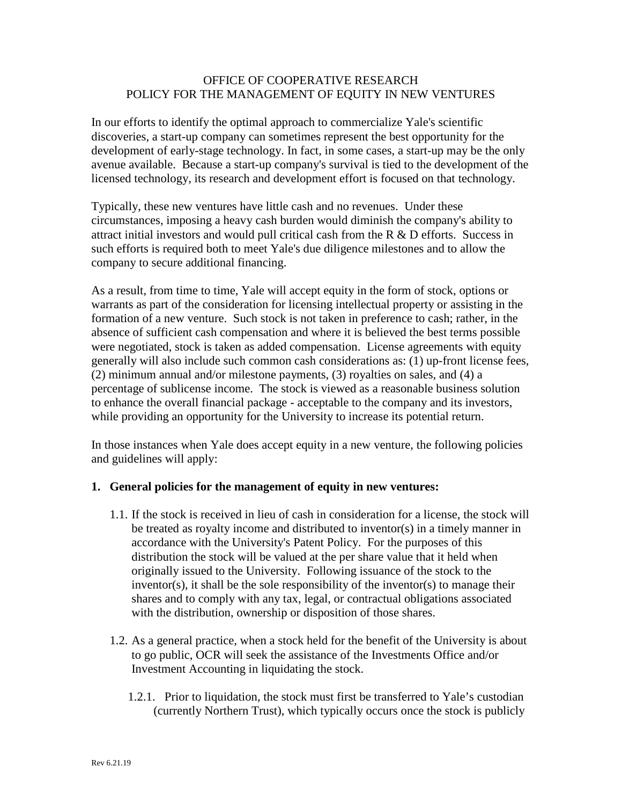## OFFICE OF COOPERATIVE RESEARCH POLICY FOR THE MANAGEMENT OF EQUITY IN NEW VENTURES

In our efforts to identify the optimal approach to commercialize Yale's scientific discoveries, a start-up company can sometimes represent the best opportunity for the development of early-stage technology. In fact, in some cases, a start-up may be the only avenue available. Because a start-up company's survival is tied to the development of the licensed technology, its research and development effort is focused on that technology.

Typically, these new ventures have little cash and no revenues. Under these circumstances, imposing a heavy cash burden would diminish the company's ability to attract initial investors and would pull critical cash from the R & D efforts. Success in such efforts is required both to meet Yale's due diligence milestones and to allow the company to secure additional financing.

As a result, from time to time, Yale will accept equity in the form of stock, options or warrants as part of the consideration for licensing intellectual property or assisting in the formation of a new venture. Such stock is not taken in preference to cash; rather, in the absence of sufficient cash compensation and where it is believed the best terms possible were negotiated, stock is taken as added compensation. License agreements with equity generally will also include such common cash considerations as: (1) up-front license fees, (2) minimum annual and/or milestone payments, (3) royalties on sales, and (4) a percentage of sublicense income. The stock is viewed as a reasonable business solution to enhance the overall financial package - acceptable to the company and its investors, while providing an opportunity for the University to increase its potential return.

In those instances when Yale does accept equity in a new venture, the following policies and guidelines will apply:

## **1. General policies for the management of equity in new ventures:**

- 1.1. If the stock is received in lieu of cash in consideration for a license, the stock will be treated as royalty income and distributed to inventor(s) in a timely manner in accordance with the University's Patent Policy. For the purposes of this distribution the stock will be valued at the per share value that it held when originally issued to the University. Following issuance of the stock to the inventor(s), it shall be the sole responsibility of the inventor(s) to manage their shares and to comply with any tax, legal, or contractual obligations associated with the distribution, ownership or disposition of those shares.
- 1.2. As a general practice, when a stock held for the benefit of the University is about to go public, OCR will seek the assistance of the Investments Office and/or Investment Accounting in liquidating the stock.
	- 1.2.1. Prior to liquidation, the stock must first be transferred to Yale's custodian (currently Northern Trust), which typically occurs once the stock is publicly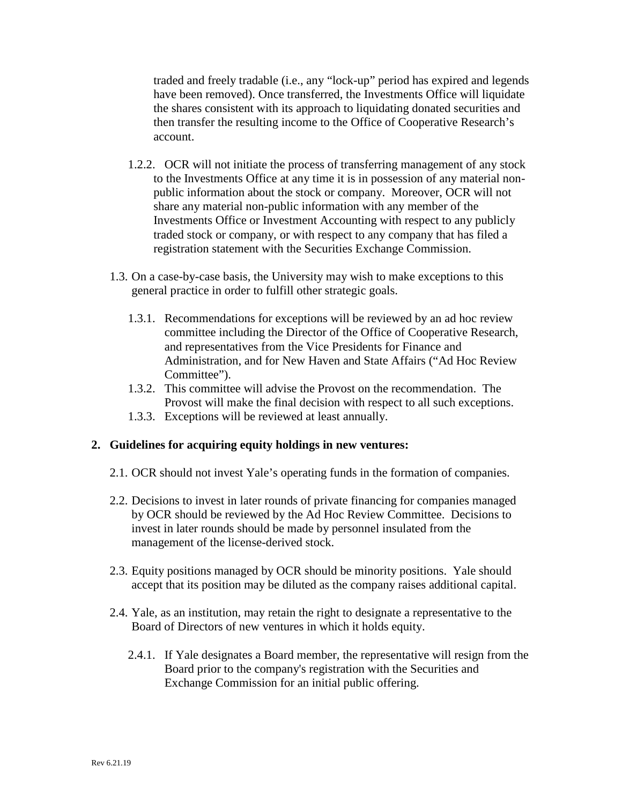traded and freely tradable (i.e., any "lock-up" period has expired and legends have been removed). Once transferred, the Investments Office will liquidate the shares consistent with its approach to liquidating donated securities and then transfer the resulting income to the Office of Cooperative Research's account.

- 1.2.2. OCR will not initiate the process of transferring management of any stock to the Investments Office at any time it is in possession of any material nonpublic information about the stock or company. Moreover, OCR will not share any material non-public information with any member of the Investments Office or Investment Accounting with respect to any publicly traded stock or company, or with respect to any company that has filed a registration statement with the Securities Exchange Commission.
- 1.3. On a case-by-case basis, the University may wish to make exceptions to this general practice in order to fulfill other strategic goals.
	- 1.3.1. Recommendations for exceptions will be reviewed by an ad hoc review committee including the Director of the Office of Cooperative Research, and representatives from the Vice Presidents for Finance and Administration, and for New Haven and State Affairs ("Ad Hoc Review Committee").
	- 1.3.2. This committee will advise the Provost on the recommendation. The Provost will make the final decision with respect to all such exceptions.
	- 1.3.3. Exceptions will be reviewed at least annually.

## **2. Guidelines for acquiring equity holdings in new ventures:**

- 2.1. OCR should not invest Yale's operating funds in the formation of companies.
- 2.2. Decisions to invest in later rounds of private financing for companies managed by OCR should be reviewed by the Ad Hoc Review Committee. Decisions to invest in later rounds should be made by personnel insulated from the management of the license-derived stock.
- 2.3. Equity positions managed by OCR should be minority positions. Yale should accept that its position may be diluted as the company raises additional capital.
- 2.4. Yale, as an institution, may retain the right to designate a representative to the Board of Directors of new ventures in which it holds equity.
	- 2.4.1. If Yale designates a Board member, the representative will resign from the Board prior to the company's registration with the Securities and Exchange Commission for an initial public offering.